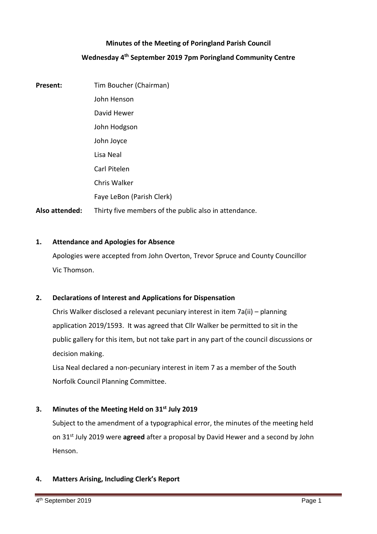## **Minutes of the Meeting of Poringland Parish Council**

# **Wednesday 4 th September 2019 7pm Poringland Community Centre**

**Present:** Tim Boucher (Chairman) John Henson David Hewer John Hodgson John Joyce Lisa Neal Carl Pitelen Chris Walker Faye LeBon (Parish Clerk) **Also attended:** Thirty five members of the public also in attendance.

## **1. Attendance and Apologies for Absence**

Apologies were accepted from John Overton, Trevor Spruce and County Councillor Vic Thomson.

## **2. Declarations of Interest and Applications for Dispensation**

Chris Walker disclosed a relevant pecuniary interest in item 7a(ii) – planning application 2019/1593. It was agreed that Cllr Walker be permitted to sit in the public gallery for this item, but not take part in any part of the council discussions or decision making.

Lisa Neal declared a non-pecuniary interest in item 7 as a member of the South Norfolk Council Planning Committee.

## **3. Minutes of the Meeting Held on 31st July 2019**

Subject to the amendment of a typographical error, the minutes of the meeting held on 31st July 2019 were **agreed** after a proposal by David Hewer and a second by John Henson.

## **4. Matters Arising, Including Clerk's Report**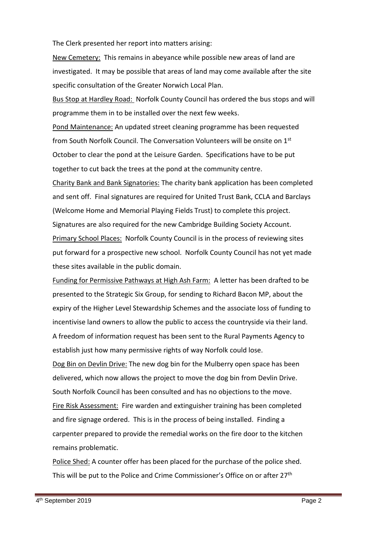The Clerk presented her report into matters arising:

New Cemetery: This remains in abeyance while possible new areas of land are investigated. It may be possible that areas of land may come available after the site specific consultation of the Greater Norwich Local Plan.

Bus Stop at Hardley Road: Norfolk County Council has ordered the bus stops and will programme them in to be installed over the next few weeks.

Pond Maintenance: An updated street cleaning programme has been requested from South Norfolk Council. The Conversation Volunteers will be onsite on 1st October to clear the pond at the Leisure Garden. Specifications have to be put together to cut back the trees at the pond at the community centre.

Charity Bank and Bank Signatories: The charity bank application has been completed and sent off. Final signatures are required for United Trust Bank, CCLA and Barclays (Welcome Home and Memorial Playing Fields Trust) to complete this project. Signatures are also required for the new Cambridge Building Society Account. Primary School Places: Norfolk County Council is in the process of reviewing sites put forward for a prospective new school. Norfolk County Council has not yet made these sites available in the public domain.

Funding for Permissive Pathways at High Ash Farm: A letter has been drafted to be presented to the Strategic Six Group, for sending to Richard Bacon MP, about the expiry of the Higher Level Stewardship Schemes and the associate loss of funding to incentivise land owners to allow the public to access the countryside via their land. A freedom of information request has been sent to the Rural Payments Agency to establish just how many permissive rights of way Norfolk could lose.

Dog Bin on Devlin Drive: The new dog bin for the Mulberry open space has been delivered, which now allows the project to move the dog bin from Devlin Drive. South Norfolk Council has been consulted and has no objections to the move. Fire Risk Assessment: Fire warden and extinguisher training has been completed and fire signage ordered. This is in the process of being installed. Finding a carpenter prepared to provide the remedial works on the fire door to the kitchen remains problematic.

Police Shed: A counter offer has been placed for the purchase of the police shed. This will be put to the Police and Crime Commissioner's Office on or after 27<sup>th</sup>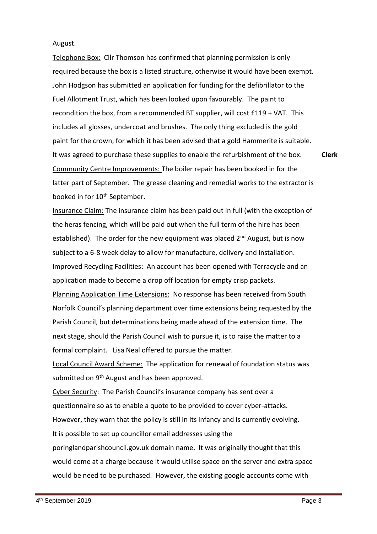### August.

Telephone Box: Cllr Thomson has confirmed that planning permission is only required because the box is a listed structure, otherwise it would have been exempt. John Hodgson has submitted an application for funding for the defibrillator to the Fuel Allotment Trust, which has been looked upon favourably. The paint to recondition the box, from a recommended BT supplier, will cost £119 + VAT. This includes all glosses, undercoat and brushes. The only thing excluded is the gold paint for the crown, for which it has been advised that a gold Hammerite is suitable. It was agreed to purchase these supplies to enable the refurbishment of the box. Community Centre Improvements: The boiler repair has been booked in for the latter part of September. The grease cleaning and remedial works to the extractor is booked in for 10<sup>th</sup> September. **Clerk**

Insurance Claim: The insurance claim has been paid out in full (with the exception of the heras fencing, which will be paid out when the full term of the hire has been established). The order for the new equipment was placed  $2^{nd}$  August, but is now subject to a 6-8 week delay to allow for manufacture, delivery and installation. Improved Recycling Facilities: An account has been opened with Terracycle and an application made to become a drop off location for empty crisp packets. Planning Application Time Extensions:No response has been received from South Norfolk Council's planning department over time extensions being requested by the Parish Council, but determinations being made ahead of the extension time. The next stage, should the Parish Council wish to pursue it, is to raise the matter to a formal complaint. Lisa Neal offered to pursue the matter.

Local Council Award Scheme: The application for renewal of foundation status was submitted on 9<sup>th</sup> August and has been approved.

Cyber Security: The Parish Council's insurance company has sent over a questionnaire so as to enable a quote to be provided to cover cyber-attacks. However, they warn that the policy is still in its infancy and is currently evolving. It is possible to set up councillor email addresses using the poringlandparishcouncil.gov.uk domain name. It was originally thought that this would come at a charge because it would utilise space on the server and extra space would be need to be purchased. However, the existing google accounts come with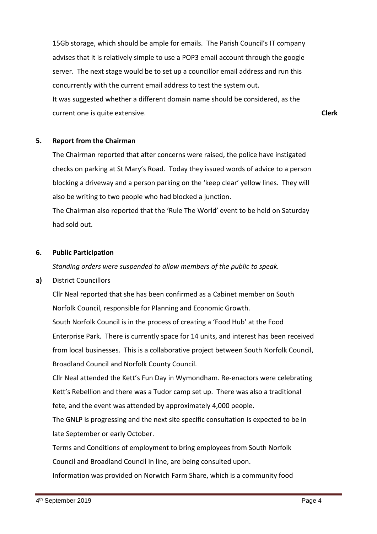15Gb storage, which should be ample for emails. The Parish Council's IT company advises that it is relatively simple to use a POP3 email account through the google server. The next stage would be to set up a councillor email address and run this concurrently with the current email address to test the system out. It was suggested whether a different domain name should be considered, as the current one is quite extensive. **Clerk**

## **5. Report from the Chairman**

The Chairman reported that after concerns were raised, the police have instigated checks on parking at St Mary's Road. Today they issued words of advice to a person blocking a driveway and a person parking on the 'keep clear' yellow lines. They will also be writing to two people who had blocked a junction.

The Chairman also reported that the 'Rule The World' event to be held on Saturday had sold out.

## **6. Public Participation**

*Standing orders were suspended to allow members of the public to speak.*

# **a)** District Councillors

Cllr Neal reported that she has been confirmed as a Cabinet member on South Norfolk Council, responsible for Planning and Economic Growth.

South Norfolk Council is in the process of creating a 'Food Hub' at the Food Enterprise Park. There is currently space for 14 units, and interest has been received from local businesses. This is a collaborative project between South Norfolk Council, Broadland Council and Norfolk County Council.

Cllr Neal attended the Kett's Fun Day in Wymondham. Re-enactors were celebrating Kett's Rebellion and there was a Tudor camp set up. There was also a traditional fete, and the event was attended by approximately 4,000 people.

The GNLP is progressing and the next site specific consultation is expected to be in late September or early October.

Terms and Conditions of employment to bring employees from South Norfolk

Council and Broadland Council in line, are being consulted upon.

Information was provided on Norwich Farm Share, which is a community food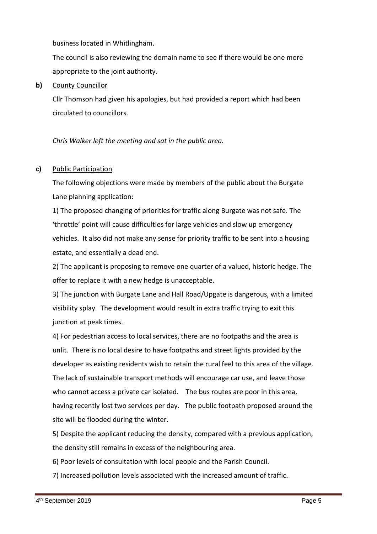business located in Whitlingham.

The council is also reviewing the domain name to see if there would be one more appropriate to the joint authority.

# **b)** County Councillor

Cllr Thomson had given his apologies, but had provided a report which had been circulated to councillors.

*Chris Walker left the meeting and sat in the public area.* 

# **c)** Public Participation

The following objections were made by members of the public about the Burgate Lane planning application:

1) The proposed changing of priorities for traffic along Burgate was not safe. The 'throttle' point will cause difficulties for large vehicles and slow up emergency vehicles. It also did not make any sense for priority traffic to be sent into a housing estate, and essentially a dead end.

2) The applicant is proposing to remove one quarter of a valued, historic hedge. The offer to replace it with a new hedge is unacceptable.

3) The junction with Burgate Lane and Hall Road/Upgate is dangerous, with a limited visibility splay. The development would result in extra traffic trying to exit this junction at peak times.

4) For pedestrian access to local services, there are no footpaths and the area is unlit. There is no local desire to have footpaths and street lights provided by the developer as existing residents wish to retain the rural feel to this area of the village. The lack of sustainable transport methods will encourage car use, and leave those who cannot access a private car isolated. The bus routes are poor in this area, having recently lost two services per day. The public footpath proposed around the site will be flooded during the winter.

5) Despite the applicant reducing the density, compared with a previous application, the density still remains in excess of the neighbouring area.

6) Poor levels of consultation with local people and the Parish Council.

7) Increased pollution levels associated with the increased amount of traffic.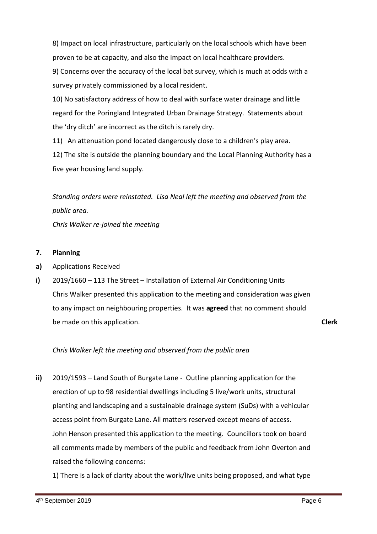8) Impact on local infrastructure, particularly on the local schools which have been proven to be at capacity, and also the impact on local healthcare providers.

9) Concerns over the accuracy of the local bat survey, which is much at odds with a survey privately commissioned by a local resident.

10) No satisfactory address of how to deal with surface water drainage and little regard for the Poringland Integrated Urban Drainage Strategy. Statements about the 'dry ditch' are incorrect as the ditch is rarely dry.

11) An attenuation pond located dangerously close to a children's play area.

12) The site is outside the planning boundary and the Local Planning Authority has a five year housing land supply.

*Standing orders were reinstated. Lisa Neal left the meeting and observed from the public area.*

*Chris Walker re-joined the meeting*

#### **7. Planning**

- **a)** Applications Received
- **i)** 2019/1660 – 113 The Street – Installation of External Air Conditioning Units Chris Walker presented this application to the meeting and consideration was given to any impact on neighbouring properties. It was **agreed** that no comment should be made on this application.

**Clerk**

# *Chris Walker left the meeting and observed from the public area*

**ii)** 2019/1593 – Land South of Burgate Lane - Outline planning application for the erection of up to 98 residential dwellings including 5 live/work units, structural planting and landscaping and a sustainable drainage system (SuDs) with a vehicular access point from Burgate Lane. All matters reserved except means of access. John Henson presented this application to the meeting. Councillors took on board all comments made by members of the public and feedback from John Overton and raised the following concerns:

1) There is a lack of clarity about the work/live units being proposed, and what type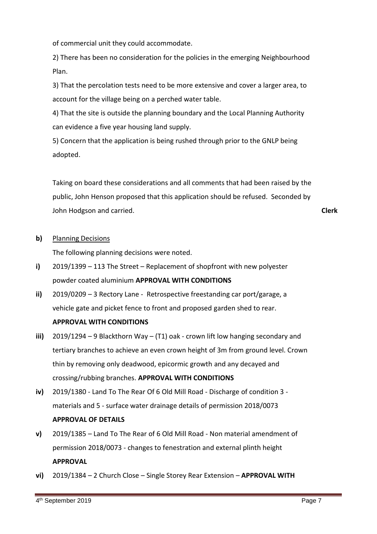of commercial unit they could accommodate.

2) There has been no consideration for the policies in the emerging Neighbourhood Plan.

3) That the percolation tests need to be more extensive and cover a larger area, to account for the village being on a perched water table.

4) That the site is outside the planning boundary and the Local Planning Authority can evidence a five year housing land supply.

5) Concern that the application is being rushed through prior to the GNLP being adopted.

Taking on board these considerations and all comments that had been raised by the public, John Henson proposed that this application should be refused. Seconded by John Hodgson and carried. **Clerk**

#### **b)** Planning Decisions

The following planning decisions were noted.

- **i)** 2019/1399 – 113 The Street – Replacement of shopfront with new polyester powder coated aluminium **APPROVAL WITH CONDITIONS**
- **ii)** 2019/0209 – 3 Rectory Lane - Retrospective freestanding car port/garage, a vehicle gate and picket fence to front and proposed garden shed to rear.

## **APPROVAL WITH CONDITIONS**

- **iii)** 2019/1294 – 9 Blackthorn Way – (T1) oak - crown lift low hanging secondary and tertiary branches to achieve an even crown height of 3m from ground level. Crown thin by removing only deadwood, epicormic growth and any decayed and crossing/rubbing branches. **APPROVAL WITH CONDITIONS**
- **iv)** 2019/1380 - Land To The Rear Of 6 Old Mill Road - Discharge of condition 3 materials and 5 - surface water drainage details of permission 2018/0073 **APPROVAL OF DETAILS**
- **v)** 2019/1385 – Land To The Rear of 6 Old Mill Road - Non material amendment of permission 2018/0073 - changes to fenestration and external plinth height **APPROVAL**
- **vi)** 2019/1384 – 2 Church Close – Single Storey Rear Extension – **APPROVAL WITH**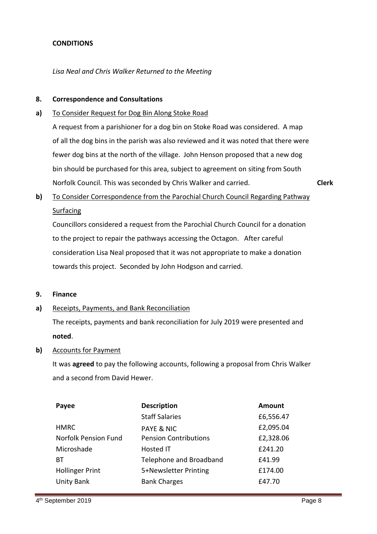## **CONDITIONS**

*Lisa Neal and Chris Walker Returned to the Meeting*

#### **8. Correspondence and Consultations**

#### **a)** To Consider Request for Dog Bin Along Stoke Road

A request from a parishioner for a dog bin on Stoke Road was considered. A map of all the dog bins in the parish was also reviewed and it was noted that there were fewer dog bins at the north of the village. John Henson proposed that a new dog bin should be purchased for this area, subject to agreement on siting from South Norfolk Council. This was seconded by Chris Walker and carried.

**Clerk**

### **b)**  To Consider Correspondence from the Parochial Church Council Regarding Pathway Surfacing

Councillors considered a request from the Parochial Church Council for a donation to the project to repair the pathways accessing the Octagon. After careful consideration Lisa Neal proposed that it was not appropriate to make a donation towards this project. Seconded by John Hodgson and carried.

#### **9. Finance**

#### **a)** Receipts, Payments, and Bank Reconciliation

The receipts, payments and bank reconciliation for July 2019 were presented and **noted**.

## **b)** Accounts for Payment

It was **agreed** to pay the following accounts, following a proposal from Chris Walker and a second from David Hewer.

| <b>Description</b>           | <b>Amount</b> |
|------------------------------|---------------|
| <b>Staff Salaries</b>        | £6,556.47     |
| <b>PAYE &amp; NIC</b>        | £2,095.04     |
| <b>Pension Contributions</b> | £2,328.06     |
| <b>Hosted IT</b>             | £241.20       |
| Telephone and Broadband      | £41.99        |
| 5+Newsletter Printing        | £174.00       |
| <b>Bank Charges</b>          | £47.70        |
|                              |               |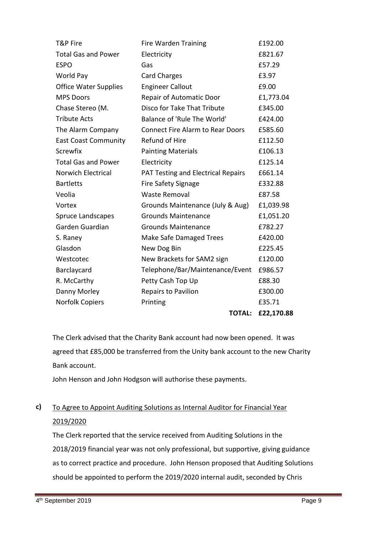| T&P Fire                     | <b>Fire Warden Training</b>               | £192.00    |
|------------------------------|-------------------------------------------|------------|
| <b>Total Gas and Power</b>   | Electricity                               | £821.67    |
| <b>ESPO</b>                  | Gas                                       | £57.29     |
| World Pay                    | <b>Card Charges</b>                       | £3.97      |
| <b>Office Water Supplies</b> | <b>Engineer Callout</b>                   | £9.00      |
| <b>MPS Doors</b>             | <b>Repair of Automatic Door</b>           | £1,773.04  |
| Chase Stereo (M.             | Disco for Take That Tribute               | £345.00    |
| <b>Tribute Acts</b>          | Balance of 'Rule The World'               | £424.00    |
| The Alarm Company            | <b>Connect Fire Alarm to Rear Doors</b>   | £585.60    |
| <b>East Coast Community</b>  | Refund of Hire                            | £112.50    |
| Screwfix                     | <b>Painting Materials</b>                 | £106.13    |
| <b>Total Gas and Power</b>   | Electricity                               | £125.14    |
| <b>Norwich Electrical</b>    | <b>PAT Testing and Electrical Repairs</b> | £661.14    |
| <b>Bartletts</b>             | <b>Fire Safety Signage</b>                | £332.88    |
| Veolia                       | <b>Waste Removal</b>                      | £87.58     |
| Vortex                       | Grounds Maintenance (July & Aug)          | £1,039.98  |
| Spruce Landscapes            | <b>Grounds Maintenance</b>                | £1,051.20  |
| Garden Guardian              | <b>Grounds Maintenance</b>                | £782.27    |
| S. Raney                     | Make Safe Damaged Trees                   | £420.00    |
| Glasdon                      | New Dog Bin                               | £225.45    |
| Westcotec                    | New Brackets for SAM2 sign                | £120.00    |
| Barclaycard                  | Telephone/Bar/Maintenance/Event           | £986.57    |
| R. McCarthy                  | Petty Cash Top Up                         | £88.30     |
| Danny Morley                 | Repairs to Pavilion                       | £300.00    |
| <b>Norfolk Copiers</b>       | Printing                                  | £35.71     |
|                              | <b>TOTAL:</b>                             | £22,170.88 |

The Clerk advised that the Charity Bank account had now been opened. It was agreed that £85,000 be transferred from the Unity bank account to the new Charity Bank account.

John Henson and John Hodgson will authorise these payments.

### **c)**  To Agree to Appoint Auditing Solutions as Internal Auditor for Financial Year 2019/2020

The Clerk reported that the service received from Auditing Solutions in the 2018/2019 financial year was not only professional, but supportive, giving guidance as to correct practice and procedure. John Henson proposed that Auditing Solutions should be appointed to perform the 2019/2020 internal audit, seconded by Chris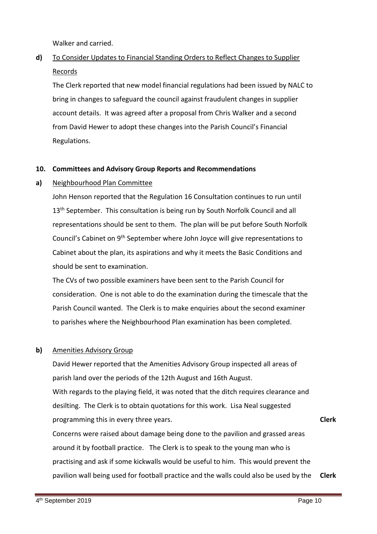Walker and carried.

### **d)** To Consider Updates to Financial Standing Orders to Reflect Changes to Supplier Records

The Clerk reported that new model financial regulations had been issued by NALC to bring in changes to safeguard the council against fraudulent changes in supplier account details. It was agreed after a proposal from Chris Walker and a second from David Hewer to adopt these changes into the Parish Council's Financial Regulations.

#### **10. Committees and Advisory Group Reports and Recommendations**

#### **a)** Neighbourhood Plan Committee

John Henson reported that the Regulation 16 Consultation continues to run until 13<sup>th</sup> September. This consultation is being run by South Norfolk Council and all representations should be sent to them. The plan will be put before South Norfolk Council's Cabinet on 9th September where John Joyce will give representations to Cabinet about the plan, its aspirations and why it meets the Basic Conditions and should be sent to examination.

The CVs of two possible examiners have been sent to the Parish Council for consideration. One is not able to do the examination during the timescale that the Parish Council wanted. The Clerk is to make enquiries about the second examiner to parishes where the Neighbourhood Plan examination has been completed.

#### **b)**  Amenities Advisory Group

David Hewer reported that the Amenities Advisory Group inspected all areas of parish land over the periods of the 12th August and 16th August. With regards to the playing field, it was noted that the ditch requires clearance and desilting. The Clerk is to obtain quotations for this work. Lisa Neal suggested programming this in every three years. Concerns were raised about damage being done to the pavilion and grassed areas around it by football practice. The Clerk is to speak to the young man who is **Clerk**

practising and ask if some kickwalls would be useful to him. This would prevent the pavilion wall being used for football practice and the walls could also be used by the **Clerk**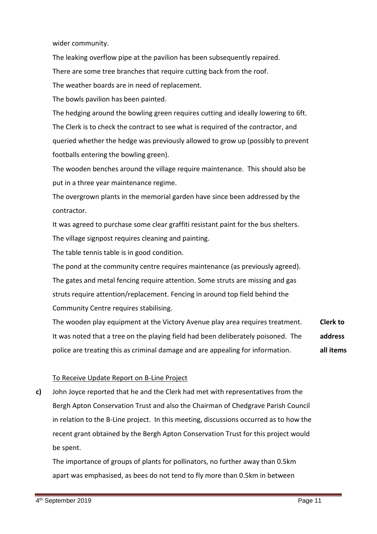wider community.

The leaking overflow pipe at the pavilion has been subsequently repaired.

There are some tree branches that require cutting back from the roof.

The weather boards are in need of replacement.

The bowls pavilion has been painted.

The hedging around the bowling green requires cutting and ideally lowering to 6ft. The Clerk is to check the contract to see what is required of the contractor, and queried whether the hedge was previously allowed to grow up (possibly to prevent footballs entering the bowling green).

The wooden benches around the village require maintenance. This should also be put in a three year maintenance regime.

The overgrown plants in the memorial garden have since been addressed by the contractor.

It was agreed to purchase some clear graffiti resistant paint for the bus shelters. The village signpost requires cleaning and painting.

The table tennis table is in good condition.

The pond at the community centre requires maintenance (as previously agreed). The gates and metal fencing require attention. Some struts are missing and gas struts require attention/replacement. Fencing in around top field behind the Community Centre requires stabilising.

The wooden play equipment at the Victory Avenue play area requires treatment. It was noted that a tree on the playing field had been deliberately poisoned. The police are treating this as criminal damage and are appealing for information. **Clerk to address all items**

# To Receive Update Report on B-Line Project

**c)**  John Joyce reported that he and the Clerk had met with representatives from the Bergh Apton Conservation Trust and also the Chairman of Chedgrave Parish Council in relation to the B-Line project. In this meeting, discussions occurred as to how the recent grant obtained by the Bergh Apton Conservation Trust for this project would be spent.

The importance of groups of plants for pollinators, no further away than 0.5km apart was emphasised, as bees do not tend to fly more than 0.5km in between